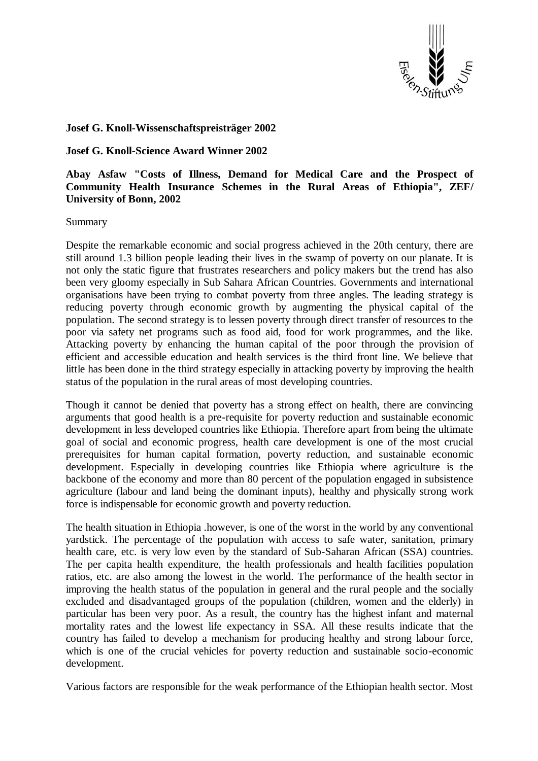

## **Josef G. Knoll-Wissenschaftspreisträger 2002**

## **Josef G. Knoll-Science Award Winner 2002**

## **Abay Asfaw "Costs of Illness, Demand for Medical Care and the Prospect of Community Health Insurance Schemes in the Rural Areas of Ethiopia", ZEF/ University of Bonn, 2002**

## Summary

Despite the remarkable economic and social progress achieved in the 20th century, there are still around 1.3 billion people leading their lives in the swamp of poverty on our planate. It is not only the static figure that frustrates researchers and policy makers but the trend has also been very gloomy especially in Sub Sahara African Countries. Governments and international organisations have been trying to combat poverty from three angles. The leading strategy is reducing poverty through economic growth by augmenting the physical capital of the population. The second strategy is to lessen poverty through direct transfer of resources to the poor via safety net programs such as food aid, food for work programmes, and the like. Attacking poverty by enhancing the human capital of the poor through the provision of efficient and accessible education and health services is the third front line. We believe that little has been done in the third strategy especially in attacking poverty by improving the health status of the population in the rural areas of most developing countries.

Though it cannot be denied that poverty has a strong effect on health, there are convincing arguments that good health is a pre-requisite for poverty reduction and sustainable economic development in less developed countries like Ethiopia. Therefore apart from being the ultimate goal of social and economic progress, health care development is one of the most crucial prerequisites for human capital formation, poverty reduction, and sustainable economic development. Especially in developing countries like Ethiopia where agriculture is the backbone of the economy and more than 80 percent of the population engaged in subsistence agriculture (labour and land being the dominant inputs), healthy and physically strong work force is indispensable for economic growth and poverty reduction.

The health situation in Ethiopia .however, is one of the worst in the world by any conventional yardstick. The percentage of the population with access to safe water, sanitation, primary health care, etc. is very low even by the standard of Sub-Saharan African (SSA) countries. The per capita health expenditure, the health professionals and health facilities population ratios, etc. are also among the lowest in the world. The performance of the health sector in improving the health status of the population in general and the rural people and the socially excluded and disadvantaged groups of the population (children, women and the elderly) in particular has been very poor. As a result, the country has the highest infant and maternal mortality rates and the lowest life expectancy in SSA. All these results indicate that the country has failed to develop a mechanism for producing healthy and strong labour force, which is one of the crucial vehicles for poverty reduction and sustainable socio-economic development.

Various factors are responsible for the weak performance of the Ethiopian health sector. Most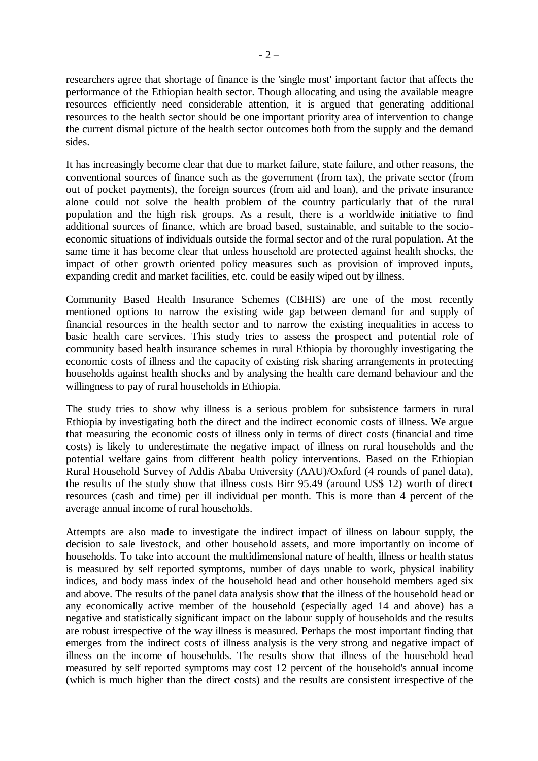researchers agree that shortage of finance is the 'single most' important factor that affects the performance of the Ethiopian health sector. Though allocating and using the available meagre resources efficiently need considerable attention, it is argued that generating additional resources to the health sector should be one important priority area of intervention to change the current dismal picture of the health sector outcomes both from the supply and the demand sides.

It has increasingly become clear that due to market failure, state failure, and other reasons, the conventional sources of finance such as the government (from tax), the private sector (from out of pocket payments), the foreign sources (from aid and loan), and the private insurance alone could not solve the health problem of the country particularly that of the rural population and the high risk groups. As a result, there is a worldwide initiative to find additional sources of finance, which are broad based, sustainable, and suitable to the socioeconomic situations of individuals outside the formal sector and of the rural population. At the same time it has become clear that unless household are protected against health shocks, the impact of other growth oriented policy measures such as provision of improved inputs, expanding credit and market facilities, etc. could be easily wiped out by illness.

Community Based Health Insurance Schemes (CBHIS) are one of the most recently mentioned options to narrow the existing wide gap between demand for and supply of financial resources in the health sector and to narrow the existing inequalities in access to basic health care services. This study tries to assess the prospect and potential role of community based health insurance schemes in rural Ethiopia by thoroughly investigating the economic costs of illness and the capacity of existing risk sharing arrangements in protecting households against health shocks and by analysing the health care demand behaviour and the willingness to pay of rural households in Ethiopia.

The study tries to show why illness is a serious problem for subsistence farmers in rural Ethiopia by investigating both the direct and the indirect economic costs of illness. We argue that measuring the economic costs of illness only in terms of direct costs (financial and time costs) is likely to underestimate the negative impact of illness on rural households and the potential welfare gains from different health policy interventions. Based on the Ethiopian Rural Household Survey of Addis Ababa University (AAU)/Oxford (4 rounds of panel data), the results of the study show that illness costs Birr 95.49 (around US\$ 12) worth of direct resources (cash and time) per ill individual per month. This is more than 4 percent of the average annual income of rural households.

Attempts are also made to investigate the indirect impact of illness on labour supply, the decision to sale livestock, and other household assets, and more importantly on income of households. To take into account the multidimensional nature of health, illness or health status is measured by self reported symptoms, number of days unable to work, physical inability indices, and body mass index of the household head and other household members aged six and above. The results of the panel data analysis show that the illness of the household head or any economically active member of the household (especially aged 14 and above) has a negative and statistically significant impact on the labour supply of households and the results are robust irrespective of the way illness is measured. Perhaps the most important finding that emerges from the indirect costs of illness analysis is the very strong and negative impact of illness on the income of households. The results show that illness of the household head measured by self reported symptoms may cost 12 percent of the household's annual income (which is much higher than the direct costs) and the results are consistent irrespective of the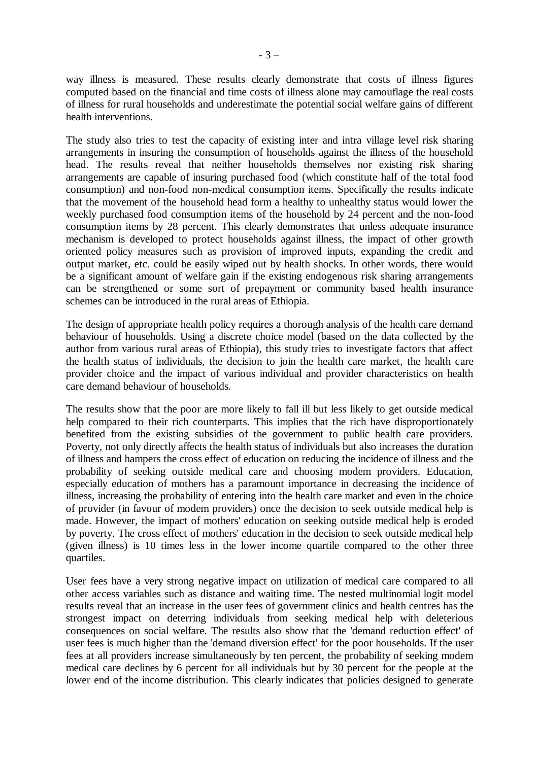way illness is measured. These results clearly demonstrate that costs of illness figures computed based on the financial and time costs of illness alone may camouflage the real costs of illness for rural households and underestimate the potential social welfare gains of different health interventions.

The study also tries to test the capacity of existing inter and intra village level risk sharing arrangements in insuring the consumption of households against the illness of the household head. The results reveal that neither households themselves nor existing risk sharing arrangements are capable of insuring purchased food (which constitute half of the total food consumption) and non-food non-medical consumption items. Specifically the results indicate that the movement of the household head form a healthy to unhealthy status would lower the weekly purchased food consumption items of the household by 24 percent and the non-food consumption items by 28 percent. This clearly demonstrates that unless adequate insurance mechanism is developed to protect households against illness, the impact of other growth oriented policy measures such as provision of improved inputs, expanding the credit and output market, etc. could be easily wiped out by health shocks. In other words, there would be a significant amount of welfare gain if the existing endogenous risk sharing arrangements can be strengthened or some sort of prepayment or community based health insurance schemes can be introduced in the rural areas of Ethiopia.

The design of appropriate health policy requires a thorough analysis of the health care demand behaviour of households. Using a discrete choice model (based on the data collected by the author from various rural areas of Ethiopia), this study tries to investigate factors that affect the health status of individuals, the decision to join the health care market, the health care provider choice and the impact of various individual and provider characteristics on health care demand behaviour of households.

The results show that the poor are more likely to fall ill but less likely to get outside medical help compared to their rich counterparts. This implies that the rich have disproportionately benefited from the existing subsidies of the government to public health care providers. Poverty, not only directly affects the health status of individuals but also increases the duration of illness and hampers the cross effect of education on reducing the incidence of illness and the probability of seeking outside medical care and choosing modem providers. Education, especially education of mothers has a paramount importance in decreasing the incidence of illness, increasing the probability of entering into the health care market and even in the choice of provider (in favour of modem providers) once the decision to seek outside medical help is made. However, the impact of mothers' education on seeking outside medical help is eroded by poverty. The cross effect of mothers' education in the decision to seek outside medical help (given illness) is 10 times less in the lower income quartile compared to the other three quartiles.

User fees have a very strong negative impact on utilization of medical care compared to all other access variables such as distance and waiting time. The nested multinomial logit model results reveal that an increase in the user fees of government clinics and health centres has the strongest impact on deterring individuals from seeking medical help with deleterious consequences on social welfare. The results also show that the 'demand reduction effect' of user fees is much higher than the 'demand diversion effect' for the poor households. If the user fees at all providers increase simultaneously by ten percent, the probability of seeking modem medical care declines by 6 percent for all individuals but by 30 percent for the people at the lower end of the income distribution. This clearly indicates that policies designed to generate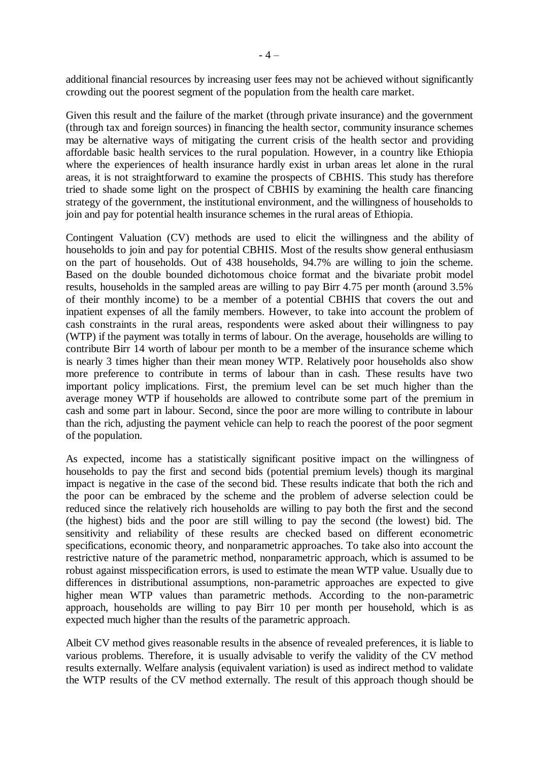additional financial resources by increasing user fees may not be achieved without significantly crowding out the poorest segment of the population from the health care market.

Given this result and the failure of the market (through private insurance) and the government (through tax and foreign sources) in financing the health sector, community insurance schemes may be alternative ways of mitigating the current crisis of the health sector and providing affordable basic health services to the rural population. However, in a country like Ethiopia where the experiences of health insurance hardly exist in urban areas let alone in the rural areas, it is not straightforward to examine the prospects of CBHIS. This study has therefore tried to shade some light on the prospect of CBHIS by examining the health care financing strategy of the government, the institutional environment, and the willingness of households to join and pay for potential health insurance schemes in the rural areas of Ethiopia.

Contingent Valuation (CV) methods are used to elicit the willingness and the ability of households to join and pay for potential CBHIS. Most of the results show general enthusiasm on the part of households. Out of 438 households, 94.7% are willing to join the scheme. Based on the double bounded dichotomous choice format and the bivariate probit model results, households in the sampled areas are willing to pay Birr 4.75 per month (around 3.5% of their monthly income) to be a member of a potential CBHIS that covers the out and inpatient expenses of all the family members. However, to take into account the problem of cash constraints in the rural areas, respondents were asked about their willingness to pay (WTP) if the payment was totally in terms of labour. On the average, households are willing to contribute Birr 14 worth of labour per month to be a member of the insurance scheme which is nearly 3 times higher than their mean money WTP. Relatively poor households also show more preference to contribute in terms of labour than in cash. These results have two important policy implications. First, the premium level can be set much higher than the average money WTP if households are allowed to contribute some part of the premium in cash and some part in labour. Second, since the poor are more willing to contribute in labour than the rich, adjusting the payment vehicle can help to reach the poorest of the poor segment of the population.

As expected, income has a statistically significant positive impact on the willingness of households to pay the first and second bids (potential premium levels) though its marginal impact is negative in the case of the second bid. These results indicate that both the rich and the poor can be embraced by the scheme and the problem of adverse selection could be reduced since the relatively rich households are willing to pay both the first and the second (the highest) bids and the poor are still willing to pay the second (the lowest) bid. The sensitivity and reliability of these results are checked based on different econometric specifications, economic theory, and nonparametric approaches. To take also into account the restrictive nature of the parametric method, nonparametric approach, which is assumed to be robust against misspecification errors, is used to estimate the mean WTP value. Usually due to differences in distributional assumptions, non-parametric approaches are expected to give higher mean WTP values than parametric methods. According to the non-parametric approach, households are willing to pay Birr 10 per month per household, which is as expected much higher than the results of the parametric approach.

Albeit CV method gives reasonable results in the absence of revealed preferences, it is liable to various problems. Therefore, it is usually advisable to verify the validity of the CV method results externally. Welfare analysis (equivalent variation) is used as indirect method to validate the WTP results of the CV method externally. The result of this approach though should be